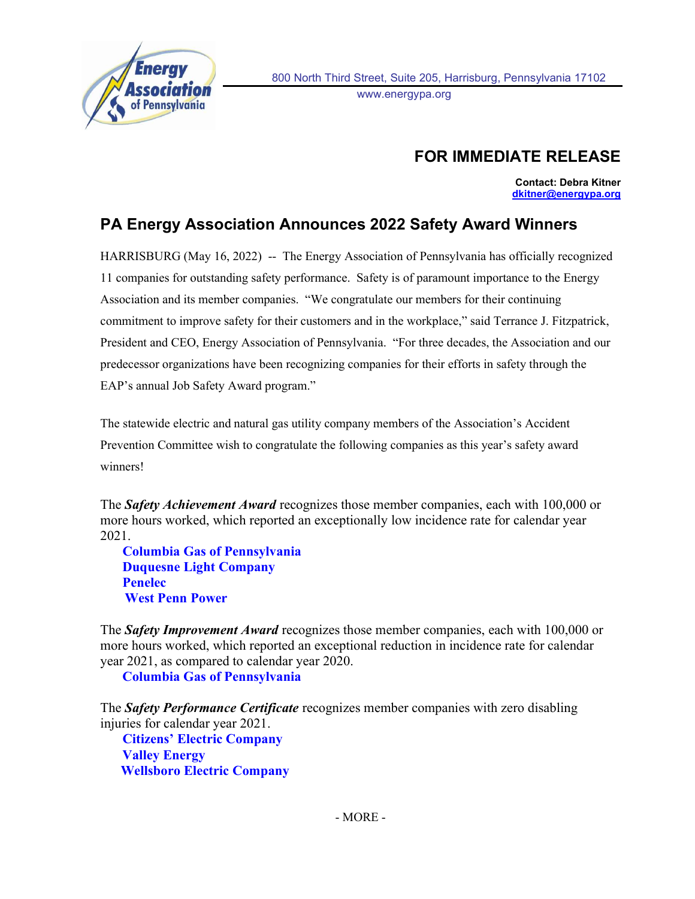

ł

## FOR IMMEDIATE RELEASE

Contact: Debra Kitner dkitner@energypa.org

## PA Energy Association Announces 2022 Safety Award Winners

HARRISBURG (May 16, 2022) -- The Energy Association of Pennsylvania has officially recognized 11 companies for outstanding safety performance. Safety is of paramount importance to the Energy Association and its member companies. "We congratulate our members for their continuing commitment to improve safety for their customers and in the workplace," said Terrance J. Fitzpatrick, President and CEO, Energy Association of Pennsylvania. "For three decades, the Association and our predecessor organizations have been recognizing companies for their efforts in safety through the EAP's annual Job Safety Award program."

The statewide electric and natural gas utility company members of the Association's Accident Prevention Committee wish to congratulate the following companies as this year's safety award winners!

The **Safety Achievement Award** recognizes those member companies, each with 100,000 or more hours worked, which reported an exceptionally low incidence rate for calendar year 2021.

Columbia Gas of Pennsylvania Duquesne Light Company Penelec West Penn Power

The Safety Improvement Award recognizes those member companies, each with 100,000 or more hours worked, which reported an exceptional reduction in incidence rate for calendar year 2021, as compared to calendar year 2020.

Columbia Gas of Pennsylvania

The **Safety Performance Certificate** recognizes member companies with zero disabling injuries for calendar year 2021.

Citizens' Electric Company Valley Energy Wellsboro Electric Company